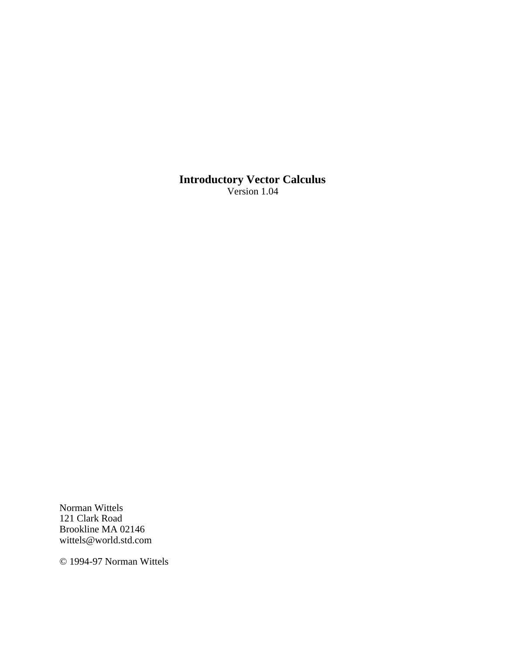**Introductory Vector Calculus** Version 1.04

Norman Wittels 121 Clark Road Brookline MA 02146 wittels@world.std.com

© 1994-97 Norman Wittels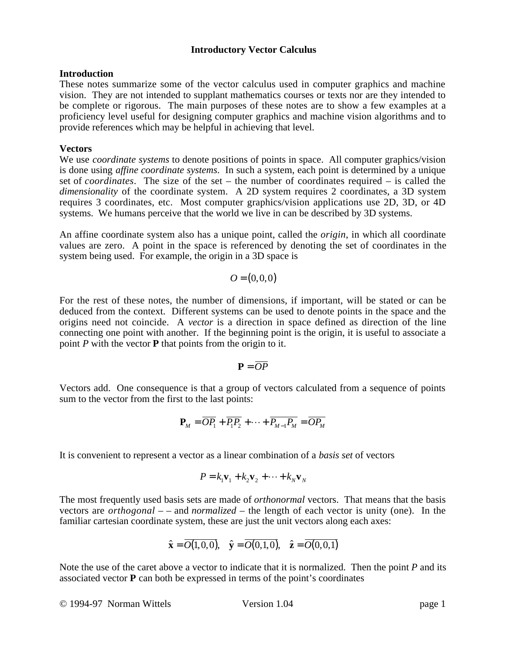## **Introduction**

These notes summarize some of the vector calculus used in computer graphics and machine vision. They are not intended to supplant mathematics courses or texts nor are they intended to be complete or rigorous. The main purposes of these notes are to show a few examples at a proficiency level useful for designing computer graphics and machine vision algorithms and to provide references which may be helpful in achieving that level.

# **Vectors**

We use *coordinate systems* to denote positions of points in space. All computer graphics/vision is done using *affine coordinate systems*. In such a system, each point is determined by a unique set of *coordinates*. The size of the set – the number of coordinates required – is called the *dimensionality* of the coordinate system. A 2D system requires 2 coordinates, a 3D system requires 3 coordinates, etc. Most computer graphics/vision applications use 2D, 3D, or 4D systems. We humans perceive that the world we live in can be described by 3D systems.

An affine coordinate system also has a unique point, called the *origin*, in which all coordinate values are zero. A point in the space is referenced by denoting the set of coordinates in the system being used. For example, the origin in a 3D space is

$$
O=(0,0,0)
$$

For the rest of these notes, the number of dimensions, if important, will be stated or can be deduced from the context. Different systems can be used to denote points in the space and the origins need not coincide. A *vector* is a direction in space defined as direction of the line connecting one point with another. If the beginning point is the origin, it is useful to associate a point *P* with the vector **P** that points from the origin to it.

$$
\mathbf{P}=\overline{OP}
$$

Vectors add. One consequence is that a group of vectors calculated from a sequence of points sum to the vector from the first to the last points:

$$
\mathbf{P}_M = \overline{OP_1} + \overline{P_1P_2} + \dots + \overline{P_{M-1}P_M} = \overline{OP_M}
$$

It is convenient to represent a vector as a linear combination of a *basis set* of vectors

$$
P = k_1 \mathbf{v}_1 + k_2 \mathbf{v}_2 + \dots + k_N \mathbf{v}_N
$$

The most frequently used basis sets are made of *orthonormal* vectors. That means that the basis vectors are *orthogonal* – – and *normalized* – the length of each vector is unity (one). In the familiar cartesian coordinate system, these are just the unit vectors along each axes:

$$
\hat{\mathbf{x}} = \overline{O(1,0,0)}, \quad \hat{\mathbf{y}} = \overline{O(0,1,0)}, \quad \hat{\mathbf{z}} = \overline{O(0,0,1)}
$$

Note the use of the caret above a vector to indicate that it is normalized. Then the point *P* and its associated vector **P** can both be expressed in terms of the point's coordinates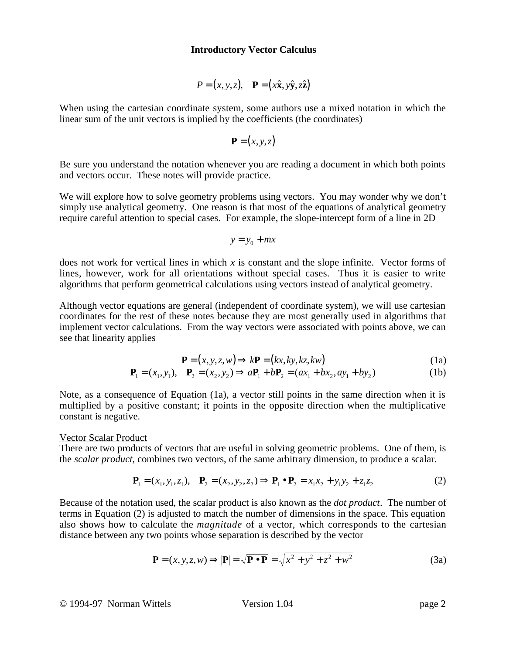$$
P = (x, y, z), \quad \mathbf{P} = (x\hat{\mathbf{x}}, y\hat{\mathbf{y}}, z\hat{\mathbf{z}})
$$

When using the cartesian coordinate system, some authors use a mixed notation in which the linear sum of the unit vectors is implied by the coefficients (the coordinates)

$$
\mathbf{P}=(x,y,z)
$$

Be sure you understand the notation whenever you are reading a document in which both points and vectors occur. These notes will provide practice.

We will explore how to solve geometry problems using vectors. You may wonder why we don't simply use analytical geometry. One reason is that most of the equations of analytical geometry require careful attention to special cases. For example, the slope-intercept form of a line in 2D

$$
y = y_0 + mx
$$

does not work for vertical lines in which *x* is constant and the slope infinite. Vector forms of lines, however, work for all orientations without special cases. Thus it is easier to write algorithms that perform geometrical calculations using vectors instead of analytical geometry.

Although vector equations are general (independent of coordinate system), we will use cartesian coordinates for the rest of these notes because they are most generally used in algorithms that implement vector calculations. From the way vectors were associated with points above, we can see that linearity applies

$$
\mathbf{P} = (x, y, z, w) \Rightarrow k\mathbf{P} = (kx, ky, kz, kw)
$$
 (1a)

$$
\mathbf{P}_1 = (x_1, y_1), \quad \mathbf{P}_2 = (x_2, y_2) \Rightarrow a\mathbf{P}_1 + b\mathbf{P}_2 = (ax_1 + bx_2, ay_1 + by_2)
$$
 (1b)

Note, as a consequence of Equation (1a), a vector still points in the same direction when it is multiplied by a positive constant; it points in the opposite direction when the multiplicative constant is negative.

#### Vector Scalar Product

There are two products of vectors that are useful in solving geometric problems. One of them, is the *scalar product*, combines two vectors, of the same arbitrary dimension, to produce a scalar.

$$
\mathbf{P}_1 = (x_1, y_1, z_1), \quad \mathbf{P}_2 = (x_2, y_2, z_2) \Rightarrow \mathbf{P}_1 \bullet \mathbf{P}_2 = x_1 x_2 + y_1 y_2 + z_1 z_2 \tag{2}
$$

Because of the notation used, the scalar product is also known as the *dot product*. The number of terms in Equation (2) is adjusted to match the number of dimensions in the space. This equation also shows how to calculate the *magnitude* of a vector, which corresponds to the cartesian distance between any two points whose separation is described by the vector

$$
\mathbf{P} = (x, y, z, w) \Longrightarrow |\mathbf{P}| = \sqrt{\mathbf{P} \bullet \mathbf{P}} = \sqrt{x^2 + y^2 + z^2 + w^2}
$$
(3a)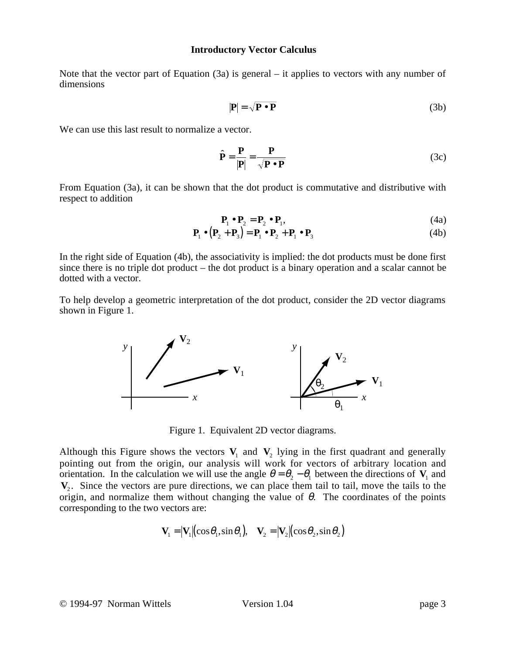Note that the vector part of Equation  $(3a)$  is general – it applies to vectors with any number of dimensions

$$
|\mathbf{P}| = \sqrt{\mathbf{P} \cdot \mathbf{P}} \tag{3b}
$$

We can use this last result to normalize a vector.

$$
\hat{\mathbf{P}} = \frac{\mathbf{P}}{|\mathbf{P}|} = \frac{\mathbf{P}}{\sqrt{\mathbf{P} \cdot \mathbf{P}}} \tag{3c}
$$

From Equation (3a), it can be shown that the dot product is commutative and distributive with respect to addition

$$
\mathbf{P}_1 \bullet \mathbf{P}_2 = \mathbf{P}_2 \bullet \mathbf{P}_1,\tag{4a}
$$

$$
\mathbf{P}_1 \bullet (\mathbf{P}_2 + \mathbf{P}_3) = \mathbf{P}_1 \bullet \mathbf{P}_2 + \mathbf{P}_1 \bullet \mathbf{P}_3 \tag{4b}
$$

In the right side of Equation (4b), the associativity is implied: the dot products must be done first since there is no triple dot product – the dot product is a binary operation and a scalar cannot be dotted with a vector.

To help develop a geometric interpretation of the dot product, consider the 2D vector diagrams shown in Figure 1.



Figure 1. Equivalent 2D vector diagrams.

Although this Figure shows the vectors  $V_1$  and  $V_2$  lying in the first quadrant and generally pointing out from the origin, our analysis will work for vectors of arbitrary location and orientation. In the calculation we will use the angle  $\theta = \theta_2 - \theta_1$  between the directions of  $V_1$  and **V**<sub>2</sub>. Since the vectors are pure directions, we can place them tail to tail, move the tails to the origin, and normalize them without changing the value of  $\theta$ . The coordinates of the points corresponding to the two vectors are:

$$
\mathbf{V}_1 = |\mathbf{V}_1| (\cos \theta_1, \sin \theta_1), \quad \mathbf{V}_2 = |\mathbf{V}_2| (\cos \theta_2, \sin \theta_2)
$$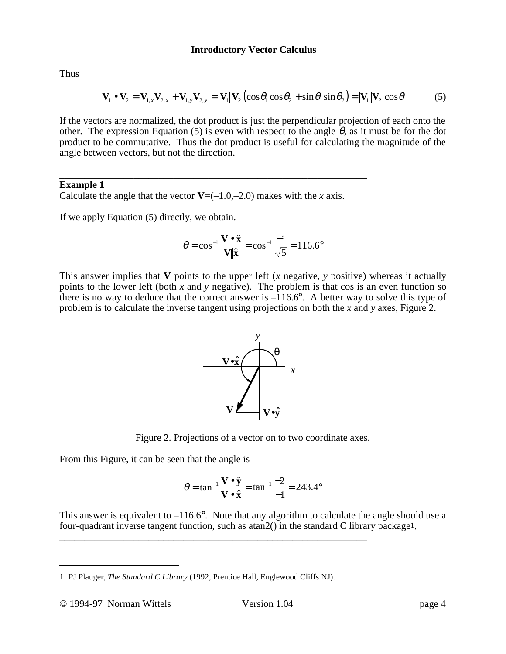Thus

$$
\mathbf{V}_1 \bullet \mathbf{V}_2 = \mathbf{V}_{1,x} \mathbf{V}_{2,x} + \mathbf{V}_{1,y} \mathbf{V}_{2,y} = |\mathbf{V}_1||\mathbf{V}_2| (\cos \theta_1 \cos \theta_2 + \sin \theta_1 \sin \theta_2) = |\mathbf{V}_1||\mathbf{V}_2| \cos \theta
$$
 (5)

If the vectors are normalized, the dot product is just the perpendicular projection of each onto the other. The expression Equation (5) is even with respect to the angle  $\theta$ , as it must be for the dot product to be commutative. Thus the dot product is useful for calculating the magnitude of the angle between vectors, but not the direction.

### \_\_\_\_\_\_\_\_\_\_\_\_\_\_\_\_\_\_\_\_\_\_\_\_\_\_\_\_\_\_\_\_\_\_\_\_\_\_\_\_\_\_\_\_\_\_\_\_\_\_\_\_\_\_\_\_\_\_\_\_\_\_ **Example 1**

Calculate the angle that the vector  $V=(-1.0,-2.0)$  makes with the *x* axis.

If we apply Equation (5) directly, we obtain.

$$
\theta = \cos^{-1} \frac{\mathbf{V} \cdot \hat{\mathbf{x}}}{|\mathbf{V}||\hat{\mathbf{x}}|} = \cos^{-1} \frac{-1}{\sqrt{5}} = 116.6^{\circ}
$$

This answer implies that **V** points to the upper left (*x* negative, *y* positive) whereas it actually points to the lower left (both  $x$  and  $y$  negative). The problem is that cos is an even function so there is no way to deduce that the correct answer is  $-116.6^\circ$ . A better way to solve this type of problem is to calculate the inverse tangent using projections on both the *x* and *y* axes, Figure 2.



Figure 2. Projections of a vector on to two coordinate axes.

From this Figure, it can be seen that the angle is

$$
\theta = \tan^{-1} \frac{\mathbf{V} \cdot \hat{\mathbf{y}}}{\mathbf{V} \cdot \hat{\mathbf{x}}} = \tan^{-1} \frac{-2}{-1} = 243.4^{\circ}
$$

This answer is equivalent to  $-116.6^\circ$ . Note that any algorithm to calculate the angle should use a four-quadrant inverse tangent function, such as atan2() in the standard C library package1.

\_\_\_\_\_\_\_\_\_\_\_\_\_\_\_\_\_\_\_\_\_\_\_\_\_\_\_\_\_\_\_\_\_\_\_\_\_\_\_\_\_\_\_\_\_\_\_\_\_\_\_\_\_\_\_\_\_\_\_\_\_\_

<sup>1</sup> PJ Plauger, *The Standard C Library* (1992, Prentice Hall, Englewood Cliffs NJ).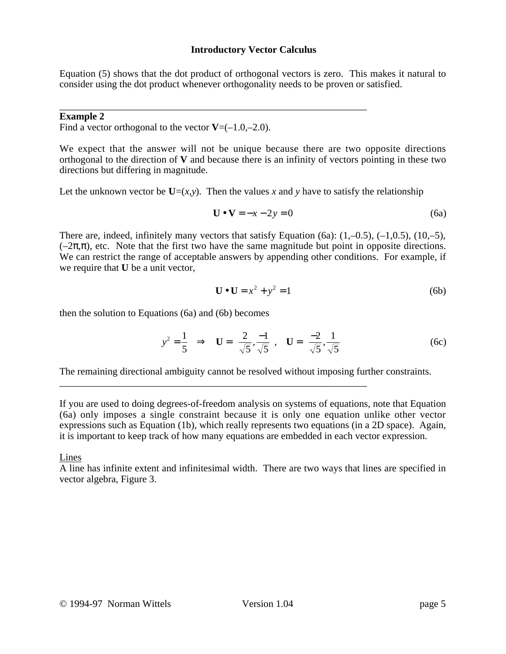Equation (5) shows that the dot product of orthogonal vectors is zero. This makes it natural to consider using the dot product whenever orthogonality needs to be proven or satisfied.

#### \_\_\_\_\_\_\_\_\_\_\_\_\_\_\_\_\_\_\_\_\_\_\_\_\_\_\_\_\_\_\_\_\_\_\_\_\_\_\_\_\_\_\_\_\_\_\_\_\_\_\_\_\_\_\_\_\_\_\_\_\_\_ **Example 2**

Find a vector orthogonal to the vector  $V=(-1.0,-2.0)$ .

We expect that the answer will not be unique because there are two opposite directions orthogonal to the direction of **V** and because there is an infinity of vectors pointing in these two directions but differing in magnitude.

Let the unknown vector be  $U=(x,y)$ . Then the values x and y have to satisfy the relationship

$$
\mathbf{U} \bullet \mathbf{V} = -x - 2y = 0 \tag{6a}
$$

There are, indeed, infinitely many vectors that satisfy Equation (6a):  $(1,-0.5)$ ,  $(-1,0.5)$ ,  $(10,-5)$ ,  $(-2\pi,\pi)$ , etc. Note that the first two have the same magnitude but point in opposite directions. We can restrict the range of acceptable answers by appending other conditions. For example, if we require that **U** be a unit vector,

$$
\mathbf{U} \bullet \mathbf{U} = x^2 + y^2 = 1 \tag{6b}
$$

then the solution to Equations (6a) and (6b) becomes

$$
y^2 = \frac{1}{5} \implies \mathbf{U} = \left(\frac{2}{\sqrt{5}}, \frac{-1}{\sqrt{5}}\right), \quad \mathbf{U} = \left(\frac{-2}{\sqrt{5}}, \frac{1}{\sqrt{5}}\right) \tag{6c}
$$

The remaining directional ambiguity cannot be resolved without imposing further constraints.

\_\_\_\_\_\_\_\_\_\_\_\_\_\_\_\_\_\_\_\_\_\_\_\_\_\_\_\_\_\_\_\_\_\_\_\_\_\_\_\_\_\_\_\_\_\_\_\_\_\_\_\_\_\_\_\_\_\_\_\_\_\_

If you are used to doing degrees-of-freedom analysis on systems of equations, note that Equation (6a) only imposes a single constraint because it is only one equation unlike other vector expressions such as Equation (1b), which really represents two equations (in a 2D space). Again, it is important to keep track of how many equations are embedded in each vector expression.

Lines

A line has infinite extent and infinitesimal width. There are two ways that lines are specified in vector algebra, Figure 3.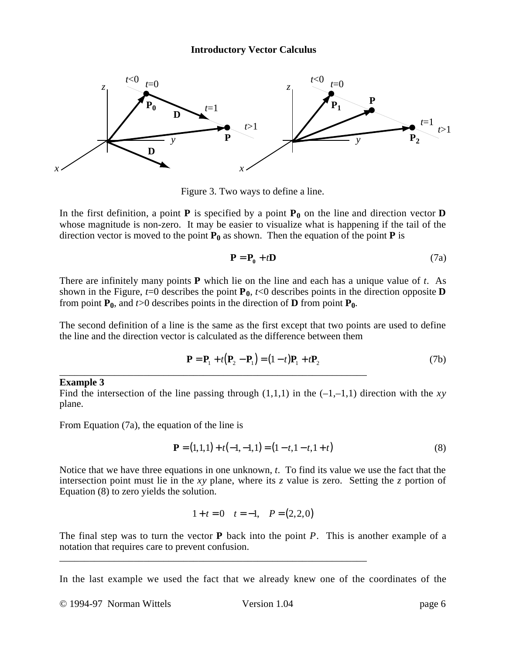

Figure 3. Two ways to define a line.

In the first definition, a point **P** is specified by a point  $P_0$  on the line and direction vector **D** whose magnitude is non-zero. It may be easier to visualize what is happening if the tail of the direction vector is moved to the point  $\mathbf{P}_0$  as shown. Then the equation of the point **P** is

$$
\mathbf{P} = \mathbf{P}_0 + t\mathbf{D} \tag{7a}
$$

There are infinitely many points **P** which lie on the line and each has a unique value of *t*. As shown in the Figure,  $t=0$  describes the point  $P_0$ ,  $t<0$  describes points in the direction opposite **D** from point  $P_0$ , and  $t > 0$  describes points in the direction of **D** from point  $P_0$ .

The second definition of a line is the same as the first except that two points are used to define the line and the direction vector is calculated as the difference between them

$$
\mathbf{P} = \mathbf{P}_1 + t(\mathbf{P}_2 - \mathbf{P}_1) = (1 - t)\mathbf{P}_1 + t\mathbf{P}_2
$$
 (7b)

#### **Example 3**

Find the intersection of the line passing through  $(1,1,1)$  in the  $(-1,-1,1)$  direction with the *xy* plane.

\_\_\_\_\_\_\_\_\_\_\_\_\_\_\_\_\_\_\_\_\_\_\_\_\_\_\_\_\_\_\_\_\_\_\_\_\_\_\_\_\_\_\_\_\_\_\_\_\_\_\_\_\_\_\_\_\_\_\_\_\_\_

From Equation (7a), the equation of the line is

$$
\mathbf{P} = (1,1,1) + t(-1,-1,1) = (1-t,1-t,1+t)
$$
\n(8)

Notice that we have three equations in one unknown, *t*. To find its value we use the fact that the intersection point must lie in the *xy* plane, where its *z* value is zero. Setting the *z* portion of Equation (8) to zero yields the solution.

$$
1 + t = 0
$$
  $t = -1$ ,  $P = (2, 2, 0)$ 

The final step was to turn the vector **P** back into the point *P*. This is another example of a notation that requires care to prevent confusion. \_\_\_\_\_\_\_\_\_\_\_\_\_\_\_\_\_\_\_\_\_\_\_\_\_\_\_\_\_\_\_\_\_\_\_\_\_\_\_\_\_\_\_\_\_\_\_\_\_\_\_\_\_\_\_\_\_\_\_\_\_\_

In the last example we used the fact that we already knew one of the coordinates of the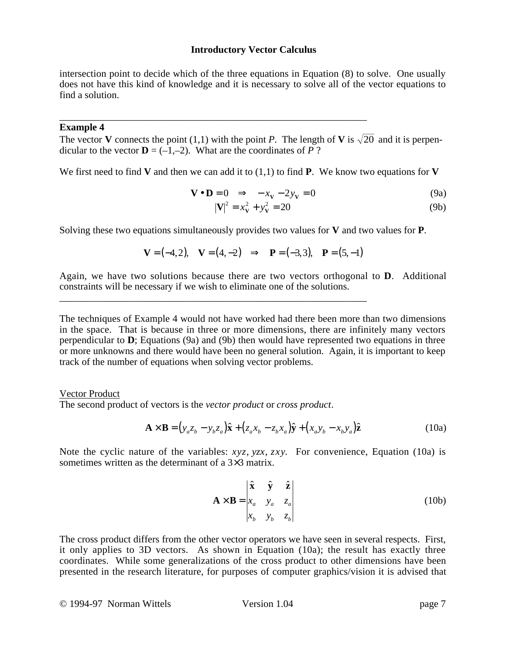intersection point to decide which of the three equations in Equation (8) to solve. One usually does not have this kind of knowledge and it is necessary to solve all of the vector equations to find a solution.

## **Example 4**

The vector **V** connects the point (1,1) with the point *P*. The length of **V** is  $\sqrt{20}$  and it is perpendicular to the vector  $\mathbf{D} = (-1,-2)$ . What are the coordinates of *P* ?

\_\_\_\_\_\_\_\_\_\_\_\_\_\_\_\_\_\_\_\_\_\_\_\_\_\_\_\_\_\_\_\_\_\_\_\_\_\_\_\_\_\_\_\_\_\_\_\_\_\_\_\_\_\_\_\_\_\_\_\_\_\_

\_\_\_\_\_\_\_\_\_\_\_\_\_\_\_\_\_\_\_\_\_\_\_\_\_\_\_\_\_\_\_\_\_\_\_\_\_\_\_\_\_\_\_\_\_\_\_\_\_\_\_\_\_\_\_\_\_\_\_\_\_\_

We first need to find **V** and then we can add it to  $(1,1)$  to find **P**. We know two equations for **V** 

$$
\mathbf{V} \bullet \mathbf{D} = 0 \quad \Rightarrow \quad -x_{\mathbf{V}} - 2y_{\mathbf{V}} = 0 \tag{9a}
$$

$$
|\mathbf{V}|^2 = x_{\mathbf{V}}^2 + y_{\mathbf{V}}^2 = 20\tag{9b}
$$

Solving these two equations simultaneously provides two values for **V** and two values for **P**.

$$
V = (-4, 2), \quad V = (4, -2) \quad \Rightarrow \quad P = (-3, 3), \quad P = (5, -1)
$$

Again, we have two solutions because there are two vectors orthogonal to **D**. Additional constraints will be necessary if we wish to eliminate one of the solutions.

The techniques of Example 4 would not have worked had there been more than two dimensions in the space. That is because in three or more dimensions, there are infinitely many vectors perpendicular to **D**; Equations (9a) and (9b) then would have represented two equations in three or more unknowns and there would have been no general solution. Again, it is important to keep track of the number of equations when solving vector problems.

## Vector Product

The second product of vectors is the *vector product* or *cross product*.

$$
\mathbf{A} \times \mathbf{B} = (y_a z_b - y_b z_a) \hat{\mathbf{x}} + (z_a x_b - z_b x_a) \hat{\mathbf{y}} + (x_a y_b - x_b y_a) \hat{\mathbf{z}}
$$
(10a)

Note the cyclic nature of the variables: *xyz*, *yzx*, *zxy*. For convenience, Equation (10a) is sometimes written as the determinant of a 3×3 matrix.

$$
\mathbf{A} \times \mathbf{B} = \begin{vmatrix} \hat{\mathbf{x}} & \hat{\mathbf{y}} & \hat{\mathbf{z}} \\ x_a & y_a & z_a \\ x_b & y_b & z_b \end{vmatrix}
$$
 (10b)

The cross product differs from the other vector operators we have seen in several respects. First, it only applies to 3D vectors. As shown in Equation (10a); the result has exactly three coordinates. While some generalizations of the cross product to other dimensions have been presented in the research literature, for purposes of computer graphics/vision it is advised that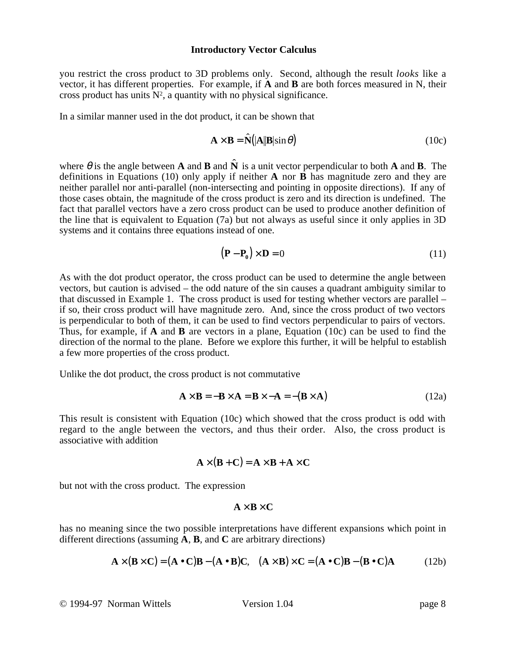you restrict the cross product to 3D problems only. Second, although the result *looks* like a vector, it has different properties. For example, if **A** and **B** are both forces measured in N, their cross product has units  $N^2$ , a quantity with no physical significance.

In a similar manner used in the dot product, it can be shown that

$$
\mathbf{A} \times \mathbf{B} = \hat{\mathbf{N}}(|\mathbf{A}||\mathbf{B}|\sin\theta)
$$
 (10c)

where  $\theta$  is the angle between **A** and **B** and  $\hat{\bf{N}}$  is a unit vector perpendicular to both **A** and **B**. The definitions in Equations (10) only apply if neither **A** nor **B** has magnitude zero and they are neither parallel nor anti-parallel (non-intersecting and pointing in opposite directions). If any of those cases obtain, the magnitude of the cross product is zero and its direction is undefined. The fact that parallel vectors have a zero cross product can be used to produce another definition of the line that is equivalent to Equation (7a) but not always as useful since it only applies in 3D systems and it contains three equations instead of one.

$$
(\mathbf{P} - \mathbf{P}_0) \times \mathbf{D} = 0 \tag{11}
$$

As with the dot product operator, the cross product can be used to determine the angle between vectors, but caution is advised – the odd nature of the sin causes a quadrant ambiguity similar to that discussed in Example 1. The cross product is used for testing whether vectors are parallel – if so, their cross product will have magnitude zero. And, since the cross product of two vectors is perpendicular to both of them, it can be used to find vectors perpendicular to pairs of vectors. Thus, for example, if **A** and **B** are vectors in a plane, Equation (10c) can be used to find the direction of the normal to the plane. Before we explore this further, it will be helpful to establish a few more properties of the cross product.

Unlike the dot product, the cross product is not commutative

$$
\mathbf{A} \times \mathbf{B} = -\mathbf{B} \times \mathbf{A} = \mathbf{B} \times -\mathbf{A} = -(\mathbf{B} \times \mathbf{A})
$$
(12a)

This result is consistent with Equation (10c) which showed that the cross product is odd with regard to the angle between the vectors, and thus their order. Also, the cross product is associative with addition

$$
\mathbf{A} \times (\mathbf{B} + \mathbf{C}) = \mathbf{A} \times \mathbf{B} + \mathbf{A} \times \mathbf{C}
$$

but not with the cross product. The expression

$$
A\times B\times C
$$

has no meaning since the two possible interpretations have different expansions which point in different directions (assuming **A**, **B**, and **C** are arbitrary directions)

$$
\mathbf{A} \times (\mathbf{B} \times \mathbf{C}) = (\mathbf{A} \cdot \mathbf{C})\mathbf{B} - (\mathbf{A} \cdot \mathbf{B})\mathbf{C}, \quad (\mathbf{A} \times \mathbf{B}) \times \mathbf{C} = (\mathbf{A} \cdot \mathbf{C})\mathbf{B} - (\mathbf{B} \cdot \mathbf{C})\mathbf{A}
$$
(12b)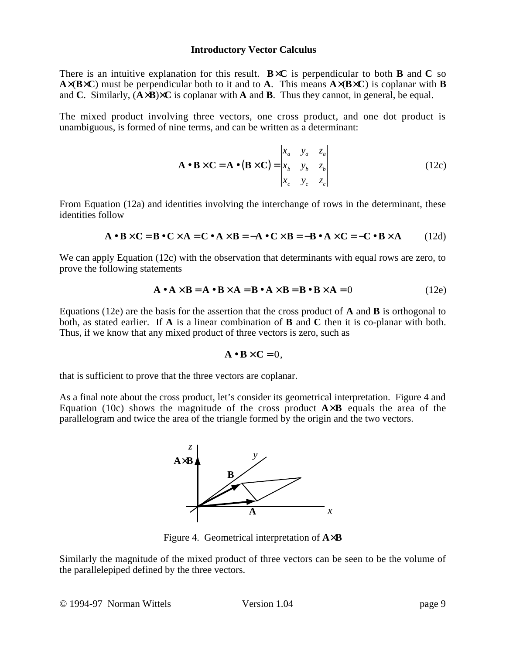There is an intuitive explanation for this result.  $B \times C$  is perpendicular to both **B** and C so **A** $\times$ (**B** $\times$ **C**) must be perpendicular both to it and to **A**. This means **A** $\times$ (**B** $\times$ **C**) is coplanar with **B** and **C**. Similarly, (**A**×**B**)×**C** is coplanar with **A** and **B**. Thus they cannot, in general, be equal.

The mixed product involving three vectors, one cross product, and one dot product is unambiguous, is formed of nine terms, and can be written as a determinant:

$$
\mathbf{A} \bullet \mathbf{B} \times \mathbf{C} = \mathbf{A} \bullet (\mathbf{B} \times \mathbf{C}) = \begin{vmatrix} x_a & y_a & z_a \\ x_b & y_b & z_b \\ x_c & y_c & z_c \end{vmatrix}
$$
(12c)

From Equation (12a) and identities involving the interchange of rows in the determinant, these identities follow

$$
\mathbf{A} \bullet \mathbf{B} \times \mathbf{C} = \mathbf{B} \bullet \mathbf{C} \times \mathbf{A} = \mathbf{C} \bullet \mathbf{A} \times \mathbf{B} = -\mathbf{A} \bullet \mathbf{C} \times \mathbf{B} = -\mathbf{B} \bullet \mathbf{A} \times \mathbf{C} = -\mathbf{C} \bullet \mathbf{B} \times \mathbf{A}
$$
 (12d)

We can apply Equation (12c) with the observation that determinants with equal rows are zero, to prove the following statements

$$
\mathbf{A} \bullet \mathbf{A} \times \mathbf{B} = \mathbf{A} \bullet \mathbf{B} \times \mathbf{A} = \mathbf{B} \bullet \mathbf{A} \times \mathbf{B} = \mathbf{B} \bullet \mathbf{B} \times \mathbf{A} = 0
$$
 (12e)

Equations (12e) are the basis for the assertion that the cross product of **A** and **B** is orthogonal to both, as stated earlier. If **A** is a linear combination of **B** and **C** then it is co-planar with both. Thus, if we know that any mixed product of three vectors is zero, such as

$$
\mathbf{A} \bullet \mathbf{B} \times \mathbf{C} = 0,
$$

that is sufficient to prove that the three vectors are coplanar.

As a final note about the cross product, let's consider its geometrical interpretation. Figure 4 and Equation (10c) shows the magnitude of the cross product  $A \times B$  equals the area of the parallelogram and twice the area of the triangle formed by the origin and the two vectors.



Figure 4. Geometrical interpretation of **A**×**B**

Similarly the magnitude of the mixed product of three vectors can be seen to be the volume of the parallelepiped defined by the three vectors.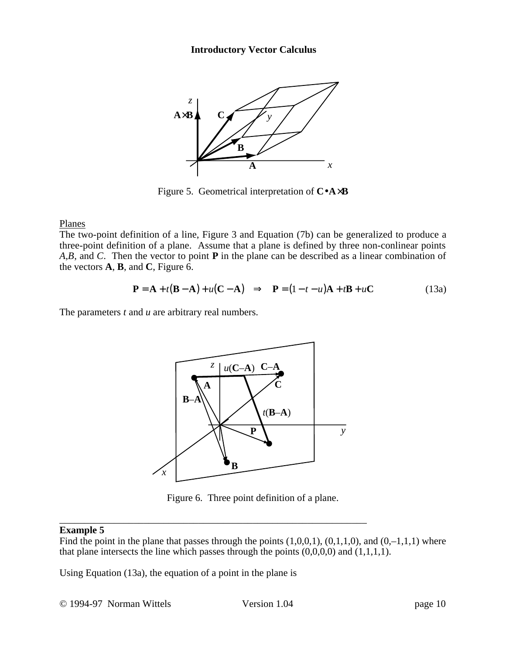

Figure 5. Geometrical interpretation of **C**•**A**×**B**

Planes

The two-point definition of a line, Figure 3 and Equation (7b) can be generalized to produce a three-point definition of a plane. Assume that a plane is defined by three non-conlinear points *A*,*B*, and *C*. Then the vector to point **P** in the plane can be described as a linear combination of the vectors **A**, **B**, and **C**, Figure 6.

$$
\mathbf{P} = \mathbf{A} + t(\mathbf{B} - \mathbf{A}) + u(\mathbf{C} - \mathbf{A}) \implies \mathbf{P} = (1 - t - u)\mathbf{A} + t\mathbf{B} + u\mathbf{C}
$$
(13a)

The parameters *t* and *u* are arbitrary real numbers.



Figure 6. Three point definition of a plane.

### \_\_\_\_\_\_\_\_\_\_\_\_\_\_\_\_\_\_\_\_\_\_\_\_\_\_\_\_\_\_\_\_\_\_\_\_\_\_\_\_\_\_\_\_\_\_\_\_\_\_\_\_\_\_\_\_\_\_\_\_\_\_ **Example 5**

Find the point in the plane that passes through the points  $(1,0,0,1)$ ,  $(0,1,1,0)$ , and  $(0,-1,1,1)$  where that plane intersects the line which passes through the points  $(0,0,0,0)$  and  $(1,1,1,1)$ .

Using Equation (13a), the equation of a point in the plane is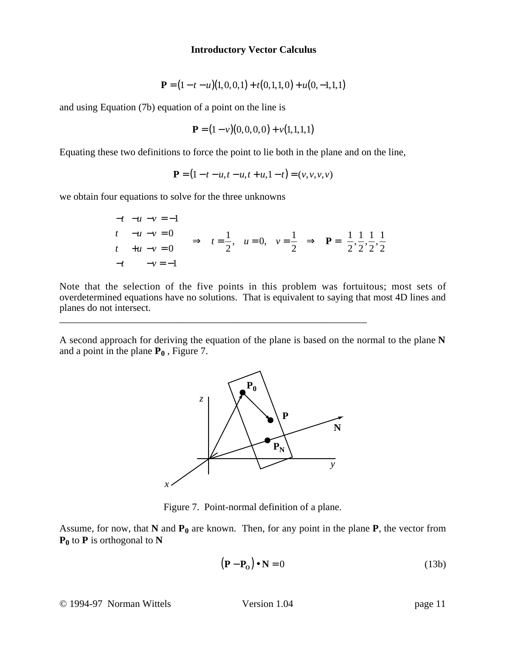$$
\mathbf{P} = (1 - t - u)(1, 0, 0, 1) + t(0, 1, 1, 0) + u(0, -1, 1, 1)
$$

and using Equation (7b) equation of a point on the line is

$$
\mathbf{P} = (1 - v)(0, 0, 0, 0) + v(1, 1, 1, 1)
$$

Equating these two definitions to force the point to lie both in the plane and on the line,

$$
\mathbf{P} = (1 - t - u, t - u, t + u, 1 - t) = (v, v, v, v)
$$

we obtain four equations to solve for the three unknowns

$$
\begin{array}{ccc}\n-t & -u - v & = -1 \\
t & -u - v & = 0 \\
t & +u - v & = 0 \\
-t & -v & = -1\n\end{array}\n\Rightarrow t = \frac{1}{2}, \quad u = 0, \quad v = \frac{1}{2} \Rightarrow \mathbf{P} = \left(\frac{1}{2}, \frac{1}{2}, \frac{1}{2}, \frac{1}{2}\right)
$$

Note that the selection of the five points in this problem was fortuitous; most sets of overdetermined equations have no solutions. That is equivalent to saying that most 4D lines and planes do not intersect.

\_\_\_\_\_\_\_\_\_\_\_\_\_\_\_\_\_\_\_\_\_\_\_\_\_\_\_\_\_\_\_\_\_\_\_\_\_\_\_\_\_\_\_\_\_\_\_\_\_\_\_\_\_\_\_\_\_\_\_\_\_\_

A second approach for deriving the equation of the plane is based on the normal to the plane **N** and a point in the plane  $P_0$ , Figure 7.



Figure 7. Point-normal definition of a plane.

Assume, for now, that  $N$  and  $P_0$  are known. Then, for any point in the plane  $P$ , the vector from  $P_0$  to  $P$  is orthogonal to  $N$ 

$$
(\mathbf{P} - \mathbf{P}_0) \bullet \mathbf{N} = 0 \tag{13b}
$$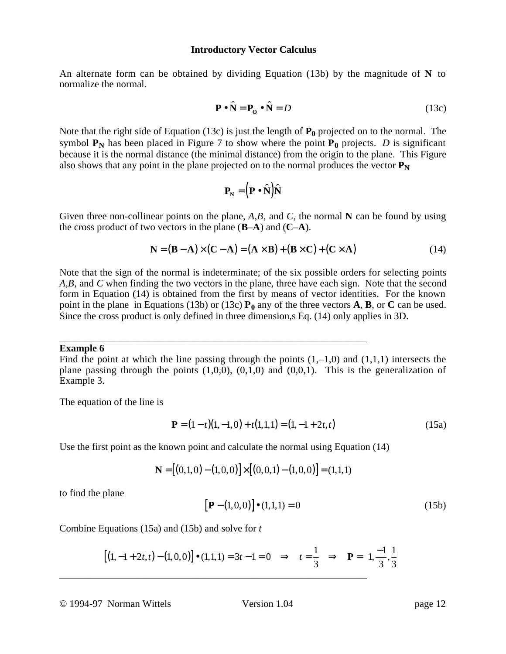An alternate form can be obtained by dividing Equation (13b) by the magnitude of **N** to normalize the normal.

$$
\mathbf{P} \cdot \hat{\mathbf{N}} = \mathbf{P}_0 \cdot \hat{\mathbf{N}} = D \tag{13c}
$$

Note that the right side of Equation (13c) is just the length of  $P_0$  projected on to the normal. The symbol  $P_N$  has been placed in Figure 7 to show where the point  $P_0$  projects. *D* is significant because it is the normal distance (the minimal distance) from the origin to the plane. This Figure also shows that any point in the plane projected on to the normal produces the vector  $P_N$ 

$$
\mathbf{P}_{\mathbf{N}} = (\mathbf{P} \bullet \hat{\mathbf{N}})\hat{\mathbf{N}}
$$

Given three non-collinear points on the plane, *A*,*B*, and *C*, the normal **N** can be found by using the cross product of two vectors in the plane (**B**–**A**) and (**C**–**A**).

$$
\mathbf{N} = (\mathbf{B} - \mathbf{A}) \times (\mathbf{C} - \mathbf{A}) = (\mathbf{A} \times \mathbf{B}) + (\mathbf{B} \times \mathbf{C}) + (\mathbf{C} \times \mathbf{A})
$$
(14)

Note that the sign of the normal is indeterminate; of the six possible orders for selecting points *A*,*B*, and *C* when finding the two vectors in the plane, three have each sign. Note that the second form in Equation (14) is obtained from the first by means of vector identities. For the known point in the plane in Equations (13b) or (13c)  $P_0$  any of the three vectors **A**, **B**, or **C** can be used. Since the cross product is only defined in three dimension,s Eq. (14) only applies in 3D.

#### **Example 6**

Find the point at which the line passing through the points  $(1,-1,0)$  and  $(1,1,1)$  intersects the plane passing through the points  $(1,0,0)$ ,  $(0,1,0)$  and  $(0,0,1)$ . This is the generalization of Example 3.

The equation of the line is

$$
\mathbf{P} = (1 - t)(1, -1, 0) + t(1, 1, 1) = (1, -1 + 2t, t)
$$
\n(15a)

Use the first point as the known point and calculate the normal using Equation (14)

\_\_\_\_\_\_\_\_\_\_\_\_\_\_\_\_\_\_\_\_\_\_\_\_\_\_\_\_\_\_\_\_\_\_\_\_\_\_\_\_\_\_\_\_\_\_\_\_\_\_\_\_\_\_\_\_\_\_\_\_\_\_

$$
\mathbf{N} = [(0,1,0) - (1,0,0)] \times [(0,0,1) - (1,0,0)] = (1,1,1)
$$

to find the plane

$$
[\mathbf{P} - (1,0,0)] \bullet (1,1,1) = 0 \tag{15b}
$$

Combine Equations (15a) and (15b) and solve for *t*

$$
[(1, -1 + 2t, t) - (1, 0, 0)] \bullet (1, 1, 1) = 3t - 1 = 0 \Rightarrow t = \frac{1}{3} \Rightarrow \mathbf{P} = \left(1, \frac{-1}{3}, \frac{1}{3}\right)
$$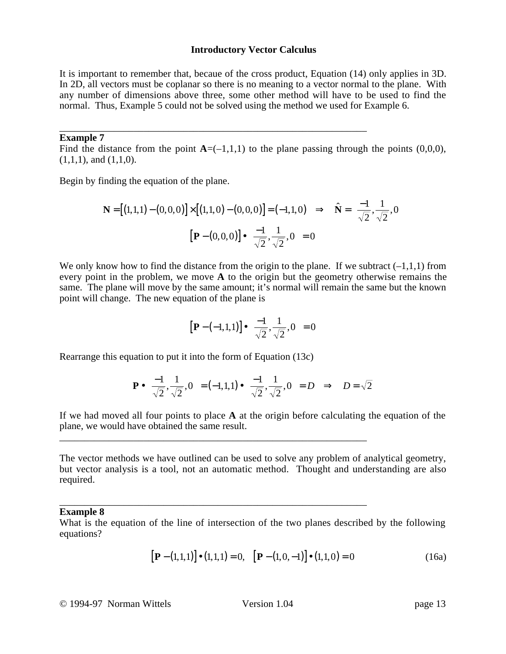It is important to remember that, becaue of the cross product, Equation (14) only applies in 3D. In 2D, all vectors must be coplanar so there is no meaning to a vector normal to the plane. With any number of dimensions above three, some other method will have to be used to find the normal. Thus, Example 5 could not be solved using the method we used for Example 6.

#### \_\_\_\_\_\_\_\_\_\_\_\_\_\_\_\_\_\_\_\_\_\_\_\_\_\_\_\_\_\_\_\_\_\_\_\_\_\_\_\_\_\_\_\_\_\_\_\_\_\_\_\_\_\_\_\_\_\_\_\_\_\_ **Example 7**

Find the distance from the point  $A = (-1,1,1)$  to the plane passing through the points  $(0,0,0)$ ,  $(1,1,1)$ , and  $(1,1,0)$ .

Begin by finding the equation of the plane.

$$
\mathbf{N} = [(1,1,1) - (0,0,0)] \times [(1,1,0) - (0,0,0)] = (-1,1,0) \Rightarrow \hat{\mathbf{N}} = \left(\frac{-1}{\sqrt{2}}, \frac{1}{\sqrt{2}}, 0\right)
$$

$$
\left[\mathbf{P} - (0,0,0)\right] \bullet \left(\frac{-1}{\sqrt{2}}, \frac{1}{\sqrt{2}}, 0\right) = 0
$$

We only know how to find the distance from the origin to the plane. If we subtract  $(-1,1,1)$  from every point in the problem, we move **A** to the origin but the geometry otherwise remains the same. The plane will move by the same amount; it's normal will remain the same but the known point will change. The new equation of the plane is

$$
\left[\mathbf{P}-\left(-1,1,1\right)\right]\bullet\left(\frac{-1}{\sqrt{2}},\frac{1}{\sqrt{2}},0\right)=0
$$

Rearrange this equation to put it into the form of Equation (13c)

\_\_\_\_\_\_\_\_\_\_\_\_\_\_\_\_\_\_\_\_\_\_\_\_\_\_\_\_\_\_\_\_\_\_\_\_\_\_\_\_\_\_\_\_\_\_\_\_\_\_\_\_\_\_\_\_\_\_\_\_\_\_

\_\_\_\_\_\_\_\_\_\_\_\_\_\_\_\_\_\_\_\_\_\_\_\_\_\_\_\_\_\_\_\_\_\_\_\_\_\_\_\_\_\_\_\_\_\_\_\_\_\_\_\_\_\_\_\_\_\_\_\_\_\_

$$
\mathbf{P} \bullet \left( \frac{-1}{\sqrt{2}}, \frac{1}{\sqrt{2}}, 0 \right) = (-1, 1, 1) \bullet \left( \frac{-1}{\sqrt{2}}, \frac{1}{\sqrt{2}}, 0 \right) = D \Rightarrow D = \sqrt{2}
$$

If we had moved all four points to place **A** at the origin before calculating the equation of the plane, we would have obtained the same result.

The vector methods we have outlined can be used to solve any problem of analytical geometry, but vector analysis is a tool, not an automatic method. Thought and understanding are also required.

### **Example 8**

What is the equation of the line of intersection of the two planes described by the following equations?

$$
[\mathbf{P} - (1,1,1)] \bullet (1,1,1) = 0, \quad [\mathbf{P} - (1,0,-1)] \bullet (1,1,0) = 0 \tag{16a}
$$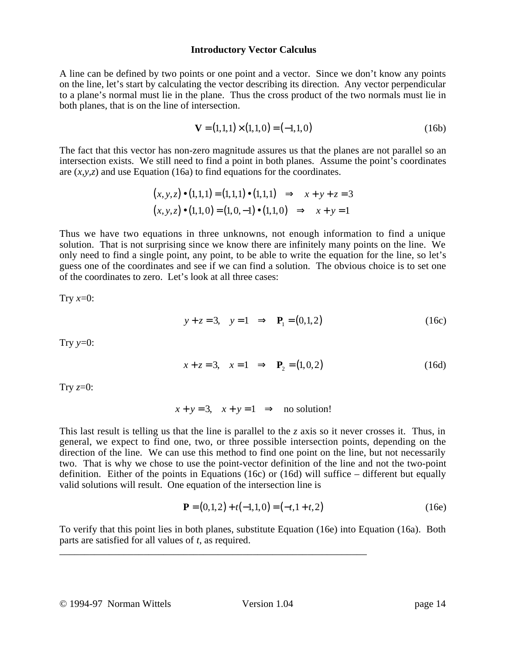A line can be defined by two points or one point and a vector. Since we don't know any points on the line, let's start by calculating the vector describing its direction. Any vector perpendicular to a plane's normal must lie in the plane. Thus the cross product of the two normals must lie in both planes, that is on the line of intersection.

$$
\mathbf{V} = (1,1,1) \times (1,1,0) = (-1,1,0) \tag{16b}
$$

The fact that this vector has non-zero magnitude assures us that the planes are not parallel so an intersection exists. We still need to find a point in both planes. Assume the point's coordinates are (*x,y,z*) and use Equation (16a) to find equations for the coordinates.

$$
(x, y, z) \bullet (1, 1, 1) = (1, 1, 1) \bullet (1, 1, 1) \implies x + y + z = 3
$$
  
 $(x, y, z) \bullet (1, 1, 0) = (1, 0, -1) \bullet (1, 1, 0) \implies x + y = 1$ 

Thus we have two equations in three unknowns, not enough information to find a unique solution. That is not surprising since we know there are infinitely many points on the line. We only need to find a single point, any point, to be able to write the equation for the line, so let's guess one of the coordinates and see if we can find a solution. The obvious choice is to set one of the coordinates to zero. Let's look at all three cases:

Try  $x=0$ :

$$
y + z = 3
$$
,  $y = 1 \implies P_1 = (0, 1, 2)$  (16c)

Try  $y=0$ :

$$
x + z = 3
$$
,  $x = 1 \implies P_2 = (1, 0, 2)$  (16d)

Try  $z=0$ :

$$
x + y = 3
$$
,  $x + y = 1$   $\Rightarrow$  no solution!

This last result is telling us that the line is parallel to the *z* axis so it never crosses it. Thus, in general, we expect to find one, two, or three possible intersection points, depending on the direction of the line. We can use this method to find one point on the line, but not necessarily two. That is why we chose to use the point-vector definition of the line and not the two-point definition. Either of the points in Equations (16c) or (16d) will suffice – different but equally valid solutions will result. One equation of the intersection line is

$$
\mathbf{P} = (0,1,2) + t(-1,1,0) = (-t,1+t,2)
$$
 (16e)

To verify that this point lies in both planes, substitute Equation (16e) into Equation (16a). Both parts are satisfied for all values of *t*, as required.

\_\_\_\_\_\_\_\_\_\_\_\_\_\_\_\_\_\_\_\_\_\_\_\_\_\_\_\_\_\_\_\_\_\_\_\_\_\_\_\_\_\_\_\_\_\_\_\_\_\_\_\_\_\_\_\_\_\_\_\_\_\_